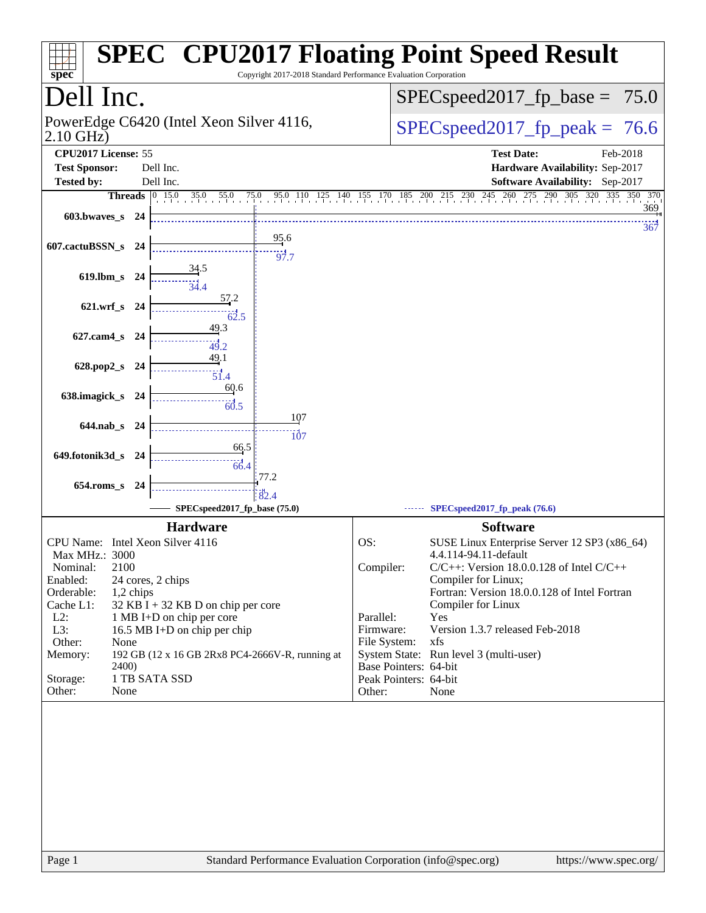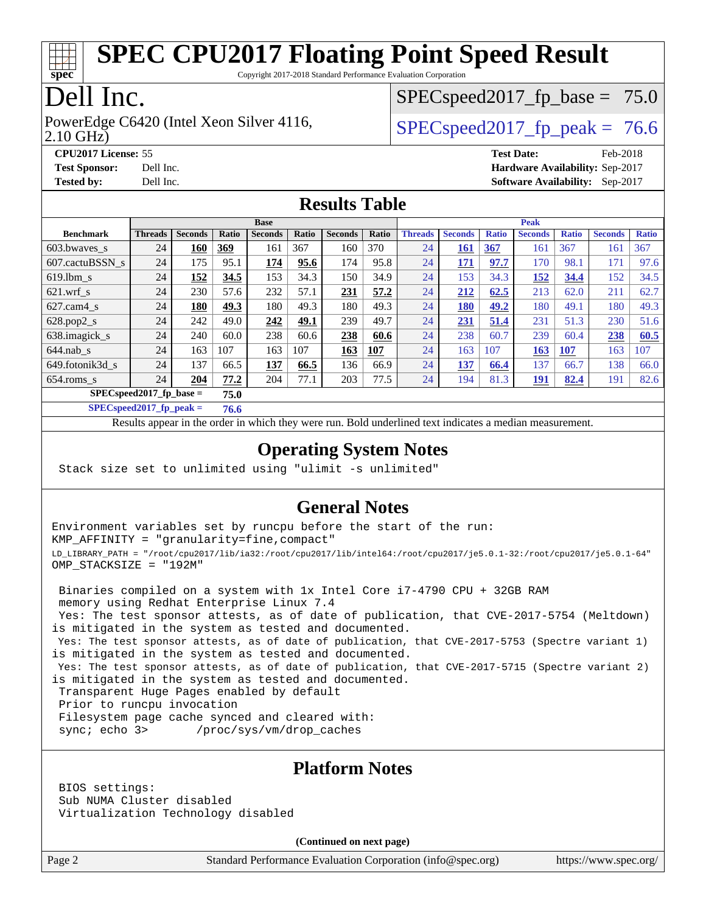

Copyright 2017-2018 Standard Performance Evaluation Corporation

# Dell Inc.

2.10 GHz) PowerEdge C6420 (Intel Xeon Silver 4116,  $\vert$  [SPECspeed2017\\_fp\\_peak =](http://www.spec.org/auto/cpu2017/Docs/result-fields.html#SPECspeed2017fppeak) 76.6

 $SPECspeed2017_fp\_base = 75.0$ 

**[CPU2017 License:](http://www.spec.org/auto/cpu2017/Docs/result-fields.html#CPU2017License)** 55 **[Test Date:](http://www.spec.org/auto/cpu2017/Docs/result-fields.html#TestDate)** Feb-2018 **[Test Sponsor:](http://www.spec.org/auto/cpu2017/Docs/result-fields.html#TestSponsor)** Dell Inc. **[Hardware Availability:](http://www.spec.org/auto/cpu2017/Docs/result-fields.html#HardwareAvailability)** Sep-2017 **[Tested by:](http://www.spec.org/auto/cpu2017/Docs/result-fields.html#Testedby)** Dell Inc. **[Software Availability:](http://www.spec.org/auto/cpu2017/Docs/result-fields.html#SoftwareAvailability)** Sep-2017

### **[Results Table](http://www.spec.org/auto/cpu2017/Docs/result-fields.html#ResultsTable)**

|                                    | <b>Base</b>    |                |              |                |              |                |       | <b>Peak</b>    |                |              |                |              |                |              |
|------------------------------------|----------------|----------------|--------------|----------------|--------------|----------------|-------|----------------|----------------|--------------|----------------|--------------|----------------|--------------|
| <b>Benchmark</b>                   | <b>Threads</b> | <b>Seconds</b> | <b>Ratio</b> | <b>Seconds</b> | <b>Ratio</b> | <b>Seconds</b> | Ratio | <b>Threads</b> | <b>Seconds</b> | <b>Ratio</b> | <b>Seconds</b> | <b>Ratio</b> | <b>Seconds</b> | <b>Ratio</b> |
| 603.bwayes s                       | 24             | 160            | 369          | 161            | 367          | 160            | 370   | 24             | 161            | 367          | 161            | 367          | 161            | 367          |
| 607.cactuBSSN s                    | 24             | 175            | 95.1         | 174            | 95.6         | 174            | 95.8  | 24             | 171            | 97.7         | 170            | 98.1         | 171            | 97.6         |
| $619.1$ bm s                       | 24             | 152            | 34.5         | 153            | 34.3         | 150            | 34.9  | 24             | 153            | 34.3         | 152            | 34.4         | 152            | 34.5         |
| $621.wrf$ s                        | 24             | 230            | 57.6         | 232            | 57.1         | 231            | 57.2  | 24             | 212            | 62.5         | 213            | 62.0         | 211            | 62.7         |
| $627$ .cam $4 \text{ s}$           | 24             | 180            | 49.3         | 180            | 49.3         | 180            | 49.3  | 24             | 180            | 49.2         | 180            | 49.1         | 180            | 49.3         |
| $628.pop2_s$                       | 24             | 242            | 49.0         | 242            | 49.1         | 239            | 49.7  | 24             | 231            | 51.4         | 231            | 51.3         | 230            | 51.6         |
| 638.imagick_s                      | 24             | 240            | 60.0         | 238            | 60.6         | 238            | 60.6  | 24             | 238            | 60.7         | 239            | 60.4         | 238            | 60.5         |
| $644$ .nab s                       | 24             | 163            | 107          | 163            | 107          | 163            | 107   | 24             | 163            | 107          | 163            | <b>107</b>   | 163            | 107          |
| 649.fotonik3d s                    | 24             | 137            | 66.5         | 137            | 66.5         | 136            | 66.9  | 24             | 137            | 66.4         | 137            | 66.7         | 138            | 66.0         |
| $654$ .roms s                      | 24             | 204            | 77.2         | 204            | 77.1         | 203            | 77.5  | 24             | 194            | 81.3         | <u> 191</u>    | 82.4         | 191            | 82.6         |
| $SPEC speed2017$ fp base =<br>75.0 |                |                |              |                |              |                |       |                |                |              |                |              |                |              |

**[SPECspeed2017\\_fp\\_peak =](http://www.spec.org/auto/cpu2017/Docs/result-fields.html#SPECspeed2017fppeak) 76.6**

Results appear in the [order in which they were run.](http://www.spec.org/auto/cpu2017/Docs/result-fields.html#RunOrder) Bold underlined text [indicates a median measurement](http://www.spec.org/auto/cpu2017/Docs/result-fields.html#Median).

#### **[Operating System Notes](http://www.spec.org/auto/cpu2017/Docs/result-fields.html#OperatingSystemNotes)**

Stack size set to unlimited using "ulimit -s unlimited"

### **[General Notes](http://www.spec.org/auto/cpu2017/Docs/result-fields.html#GeneralNotes)**

Environment variables set by runcpu before the start of the run: KMP\_AFFINITY = "granularity=fine,compact" LD\_LIBRARY\_PATH = "/root/cpu2017/lib/ia32:/root/cpu2017/lib/intel64:/root/cpu2017/je5.0.1-32:/root/cpu2017/je5.0.1-64" OMP\_STACKSIZE = "192M"

 Binaries compiled on a system with 1x Intel Core i7-4790 CPU + 32GB RAM memory using Redhat Enterprise Linux 7.4 Yes: The test sponsor attests, as of date of publication, that CVE-2017-5754 (Meltdown) is mitigated in the system as tested and documented.

 Yes: The test sponsor attests, as of date of publication, that CVE-2017-5753 (Spectre variant 1) is mitigated in the system as tested and documented.

 Yes: The test sponsor attests, as of date of publication, that CVE-2017-5715 (Spectre variant 2) is mitigated in the system as tested and documented.

Transparent Huge Pages enabled by default

Prior to runcpu invocation

Filesystem page cache synced and cleared with:

sync; echo 3> /proc/sys/vm/drop\_caches

#### **[Platform Notes](http://www.spec.org/auto/cpu2017/Docs/result-fields.html#PlatformNotes)**

 BIOS settings: Sub NUMA Cluster disabled Virtualization Technology disabled

**(Continued on next page)**

Page 2 Standard Performance Evaluation Corporation [\(info@spec.org\)](mailto:info@spec.org) <https://www.spec.org/>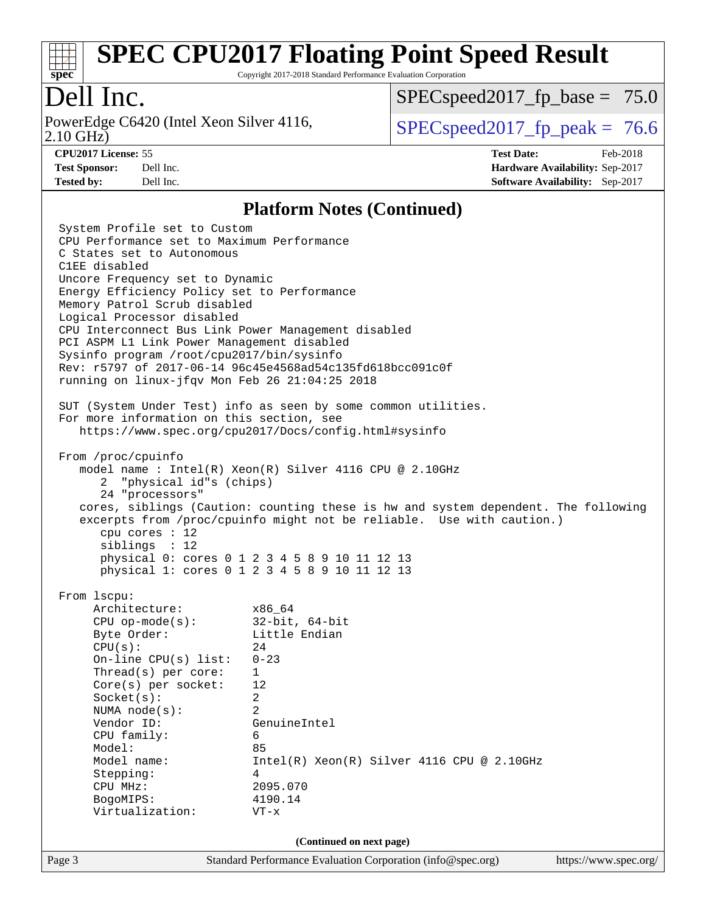

Copyright 2017-2018 Standard Performance Evaluation Corporation

### Dell Inc.

2.10 GHz) PowerEdge C6420 (Intel Xeon Silver 4116,  $\vert$  [SPECspeed2017\\_fp\\_peak =](http://www.spec.org/auto/cpu2017/Docs/result-fields.html#SPECspeed2017fppeak) 76.6

 $SPECspeed2017_fp\_base = 75.0$ 

**[CPU2017 License:](http://www.spec.org/auto/cpu2017/Docs/result-fields.html#CPU2017License)** 55 **[Test Date:](http://www.spec.org/auto/cpu2017/Docs/result-fields.html#TestDate)** Feb-2018 **[Test Sponsor:](http://www.spec.org/auto/cpu2017/Docs/result-fields.html#TestSponsor)** Dell Inc. **[Hardware Availability:](http://www.spec.org/auto/cpu2017/Docs/result-fields.html#HardwareAvailability)** Sep-2017 **[Tested by:](http://www.spec.org/auto/cpu2017/Docs/result-fields.html#Testedby)** Dell Inc. **[Software Availability:](http://www.spec.org/auto/cpu2017/Docs/result-fields.html#SoftwareAvailability)** Sep-2017

#### **[Platform Notes \(Continued\)](http://www.spec.org/auto/cpu2017/Docs/result-fields.html#PlatformNotes)**

Page 3 Standard Performance Evaluation Corporation [\(info@spec.org\)](mailto:info@spec.org) <https://www.spec.org/> System Profile set to Custom CPU Performance set to Maximum Performance C States set to Autonomous C1EE disabled Uncore Frequency set to Dynamic Energy Efficiency Policy set to Performance Memory Patrol Scrub disabled Logical Processor disabled CPU Interconnect Bus Link Power Management disabled PCI ASPM L1 Link Power Management disabled Sysinfo program /root/cpu2017/bin/sysinfo Rev: r5797 of 2017-06-14 96c45e4568ad54c135fd618bcc091c0f running on linux-jfqv Mon Feb 26 21:04:25 2018 SUT (System Under Test) info as seen by some common utilities. For more information on this section, see <https://www.spec.org/cpu2017/Docs/config.html#sysinfo> From /proc/cpuinfo model name : Intel(R) Xeon(R) Silver 4116 CPU @ 2.10GHz 2 "physical id"s (chips) 24 "processors" cores, siblings (Caution: counting these is hw and system dependent. The following excerpts from /proc/cpuinfo might not be reliable. Use with caution.) cpu cores : 12 siblings : 12 physical 0: cores 0 1 2 3 4 5 8 9 10 11 12 13 physical 1: cores 0 1 2 3 4 5 8 9 10 11 12 13 From lscpu: Architecture: x86\_64 CPU op-mode(s): 32-bit, 64-bit Byte Order: Little Endian  $CPU(s):$  24 On-line CPU(s) list: 0-23 Thread(s) per core: 1 Core(s) per socket: 12 Socket(s): 2 NUMA node(s): 2 Vendor ID: GenuineIntel CPU family: 6 Model: 85 Model name:  $Intel(R)$  Xeon(R) Silver 4116 CPU @ 2.10GHz Stepping: 4 CPU MHz: 2095.070 BogoMIPS: 4190.14 Virtualization: VT-x **(Continued on next page)**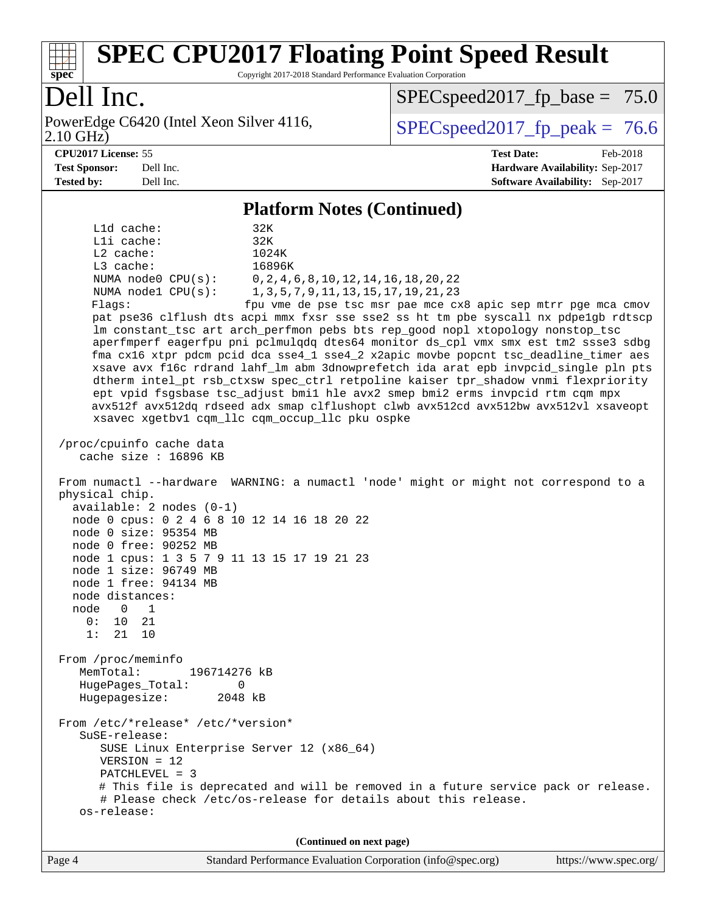

Copyright 2017-2018 Standard Performance Evaluation Corporation

# Dell Inc.

2.10 GHz) PowerEdge C6420 (Intel Xeon Silver 4116,  $\vert$  [SPECspeed2017\\_fp\\_peak =](http://www.spec.org/auto/cpu2017/Docs/result-fields.html#SPECspeed2017fppeak) 76.6

 $SPECspeed2017_fp\_base = 75.0$ 

**[CPU2017 License:](http://www.spec.org/auto/cpu2017/Docs/result-fields.html#CPU2017License)** 55 **[Test Date:](http://www.spec.org/auto/cpu2017/Docs/result-fields.html#TestDate)** Feb-2018 **[Test Sponsor:](http://www.spec.org/auto/cpu2017/Docs/result-fields.html#TestSponsor)** Dell Inc. **[Hardware Availability:](http://www.spec.org/auto/cpu2017/Docs/result-fields.html#HardwareAvailability)** Sep-2017 **[Tested by:](http://www.spec.org/auto/cpu2017/Docs/result-fields.html#Testedby)** Dell Inc. **[Software Availability:](http://www.spec.org/auto/cpu2017/Docs/result-fields.html#SoftwareAvailability)** Sep-2017

#### **[Platform Notes \(Continued\)](http://www.spec.org/auto/cpu2017/Docs/result-fields.html#PlatformNotes)**

 L1d cache: 32K L1i cache: 32K L2 cache: 1024K L3 cache: 16896K NUMA node0 CPU(s): 0,2,4,6,8,10,12,14,16,18,20,22 NUMA node1 CPU(s): 1,3,5,7,9,11,13,15,17,19,21,23 Flags: fpu vme de pse tsc msr pae mce cx8 apic sep mtrr pge mca cmov pat pse36 clflush dts acpi mmx fxsr sse sse2 ss ht tm pbe syscall nx pdpe1gb rdtscp lm constant\_tsc art arch\_perfmon pebs bts rep\_good nopl xtopology nonstop\_tsc aperfmperf eagerfpu pni pclmulqdq dtes64 monitor ds\_cpl vmx smx est tm2 ssse3 sdbg fma cx16 xtpr pdcm pcid dca sse4\_1 sse4\_2 x2apic movbe popcnt tsc\_deadline\_timer aes xsave avx f16c rdrand lahf\_lm abm 3dnowprefetch ida arat epb invpcid\_single pln pts dtherm intel\_pt rsb\_ctxsw spec\_ctrl retpoline kaiser tpr\_shadow vnmi flexpriority ept vpid fsgsbase tsc\_adjust bmi1 hle avx2 smep bmi2 erms invpcid rtm cqm mpx avx512f avx512dq rdseed adx smap clflushopt clwb avx512cd avx512bw avx512vl xsaveopt xsavec xgetbv1 cqm\_llc cqm\_occup\_llc pku ospke /proc/cpuinfo cache data cache size : 16896 KB From numactl --hardware WARNING: a numactl 'node' might or might not correspond to a physical chip. available: 2 nodes (0-1) node 0 cpus: 0 2 4 6 8 10 12 14 16 18 20 22 node 0 size: 95354 MB node 0 free: 90252 MB node 1 cpus: 1 3 5 7 9 11 13 15 17 19 21 23 node 1 size: 96749 MB node 1 free: 94134 MB node distances: node 0 1  $0: 10 21$  1: 21 10 From /proc/meminfo MemTotal: 196714276 kB HugePages\_Total: 0 Hugepagesize: 2048 kB From /etc/\*release\* /etc/\*version\* SuSE-release: SUSE Linux Enterprise Server 12 (x86\_64) VERSION = 12 PATCHLEVEL = 3 # This file is deprecated and will be removed in a future service pack or release. # Please check /etc/os-release for details about this release. os-release: **(Continued on next page)**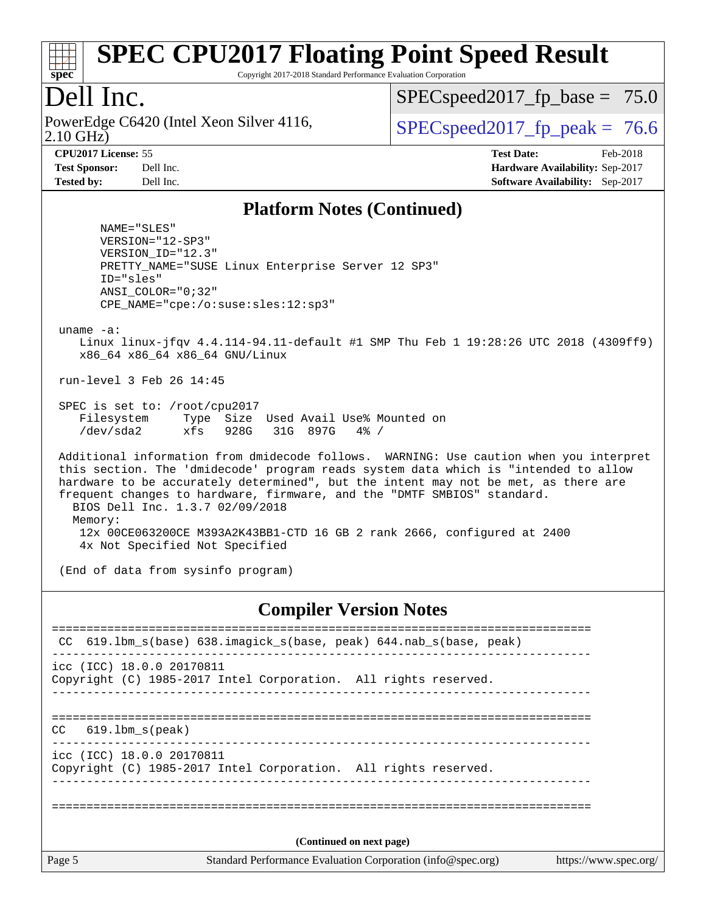

Copyright 2017-2018 Standard Performance Evaluation Corporation

### Dell Inc.

2.10 GHz) PowerEdge C6420 (Intel Xeon Silver 4116,  $\vert$  [SPECspeed2017\\_fp\\_peak =](http://www.spec.org/auto/cpu2017/Docs/result-fields.html#SPECspeed2017fppeak) 76.6

 $SPECspeed2017_fp\_base = 75.0$ 

**[CPU2017 License:](http://www.spec.org/auto/cpu2017/Docs/result-fields.html#CPU2017License)** 55 **[Test Date:](http://www.spec.org/auto/cpu2017/Docs/result-fields.html#TestDate)** Feb-2018 **[Test Sponsor:](http://www.spec.org/auto/cpu2017/Docs/result-fields.html#TestSponsor)** Dell Inc. **[Hardware Availability:](http://www.spec.org/auto/cpu2017/Docs/result-fields.html#HardwareAvailability)** Sep-2017 **[Tested by:](http://www.spec.org/auto/cpu2017/Docs/result-fields.html#Testedby)** Dell Inc. **[Software Availability:](http://www.spec.org/auto/cpu2017/Docs/result-fields.html#SoftwareAvailability)** Sep-2017

#### **[Platform Notes \(Continued\)](http://www.spec.org/auto/cpu2017/Docs/result-fields.html#PlatformNotes)**

 NAME="SLES" VERSION="12-SP3" VERSION\_ID="12.3" PRETTY\_NAME="SUSE Linux Enterprise Server 12 SP3" ID="sles" ANSI\_COLOR="0;32" CPE\_NAME="cpe:/o:suse:sles:12:sp3"

uname -a:

 Linux linux-jfqv 4.4.114-94.11-default #1 SMP Thu Feb 1 19:28:26 UTC 2018 (4309ff9) x86\_64 x86\_64 x86\_64 GNU/Linux

run-level 3 Feb 26 14:45

 SPEC is set to: /root/cpu2017 Filesystem Type Size Used Avail Use% Mounted on /dev/sda2 xfs 928G 31G 897G 4% /

 Additional information from dmidecode follows. WARNING: Use caution when you interpret this section. The 'dmidecode' program reads system data which is "intended to allow hardware to be accurately determined", but the intent may not be met, as there are frequent changes to hardware, firmware, and the "DMTF SMBIOS" standard. BIOS Dell Inc. 1.3.7 02/09/2018 Memory: 12x 00CE063200CE M393A2K43BB1-CTD 16 GB 2 rank 2666, configured at 2400 4x Not Specified Not Specified

(End of data from sysinfo program)

#### **[Compiler Version Notes](http://www.spec.org/auto/cpu2017/Docs/result-fields.html#CompilerVersionNotes)**

| CC     | 619.1bm_s(base) 638.imagick_s(base, peak) 644.nab_s(base, peak)                              |  |
|--------|----------------------------------------------------------------------------------------------|--|
|        | icc (ICC) 18.0.0 20170811<br>Copyright (C) 1985-2017 Intel Corporation. All rights reserved. |  |
| CC.    | 619.1bm s(peak)                                                                              |  |
|        | icc (ICC) 18.0.0 20170811<br>Copyright (C) 1985-2017 Intel Corporation. All rights reserved. |  |
|        | (Continued on next page)                                                                     |  |
| Page 5 |                                                                                              |  |
|        | Standard Performance Evaluation Corporation (info@spec.org)<br>https://www.spec.org/         |  |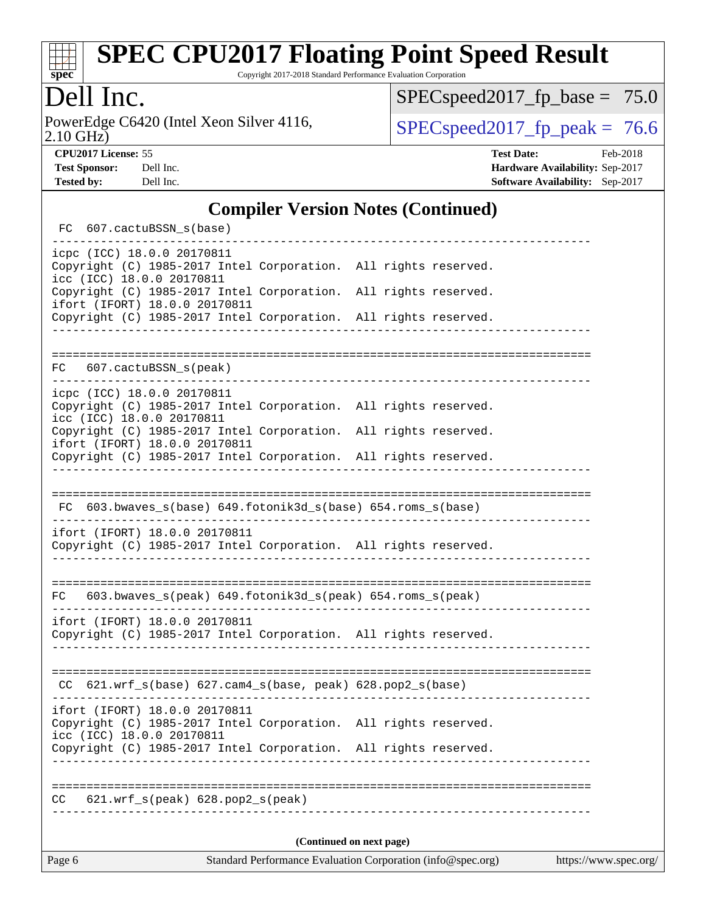

Copyright 2017-2018 Standard Performance Evaluation Corporation

# Dell Inc.

2.10 GHz) PowerEdge C6420 (Intel Xeon Silver 4116,  $\text{SPEC speed2017\_fp\_peak} = 76.6$ 

[SPECspeed2017\\_fp\\_base =](http://www.spec.org/auto/cpu2017/Docs/result-fields.html#SPECspeed2017fpbase) 75.0

**[CPU2017 License:](http://www.spec.org/auto/cpu2017/Docs/result-fields.html#CPU2017License)** 55 **[Test Date:](http://www.spec.org/auto/cpu2017/Docs/result-fields.html#TestDate)** Feb-2018 **[Test Sponsor:](http://www.spec.org/auto/cpu2017/Docs/result-fields.html#TestSponsor)** Dell Inc. **[Hardware Availability:](http://www.spec.org/auto/cpu2017/Docs/result-fields.html#HardwareAvailability)** Sep-2017 **[Tested by:](http://www.spec.org/auto/cpu2017/Docs/result-fields.html#Testedby)** Dell Inc. **[Software Availability:](http://www.spec.org/auto/cpu2017/Docs/result-fields.html#SoftwareAvailability)** Sep-2017

#### **[Compiler Version Notes \(Continued\)](http://www.spec.org/auto/cpu2017/Docs/result-fields.html#CompilerVersionNotes)**

| (Continued on next page)                                                                                                                                        |  |  |  |  |  |  |
|-----------------------------------------------------------------------------------------------------------------------------------------------------------------|--|--|--|--|--|--|
| $621.wrf_s(peak) 628.pop2_s(peak)$<br>CC                                                                                                                        |  |  |  |  |  |  |
|                                                                                                                                                                 |  |  |  |  |  |  |
| Copyright (C) 1985-2017 Intel Corporation. All rights reserved.                                                                                                 |  |  |  |  |  |  |
| ifort (IFORT) 18.0.0 20170811<br>Copyright (C) 1985-2017 Intel Corporation. All rights reserved.<br>icc (ICC) 18.0.0 20170811                                   |  |  |  |  |  |  |
| $CC$ 621.wrf_s(base) 627.cam4_s(base, peak) 628.pop2_s(base)                                                                                                    |  |  |  |  |  |  |
| Copyright (C) 1985-2017 Intel Corporation. All rights reserved.                                                                                                 |  |  |  |  |  |  |
| ifort (IFORT) 18.0.0 20170811                                                                                                                                   |  |  |  |  |  |  |
| 603.bwaves_s(peak) 649.fotonik3d_s(peak) 654.roms_s(peak)<br>FC                                                                                                 |  |  |  |  |  |  |
| ifort (IFORT) 18.0.0 20170811<br>Copyright (C) 1985-2017 Intel Corporation. All rights reserved.                                                                |  |  |  |  |  |  |
| FC 603.bwaves_s(base) 649.fotonik3d_s(base) 654.roms_s(base)                                                                                                    |  |  |  |  |  |  |
|                                                                                                                                                                 |  |  |  |  |  |  |
| ifort (IFORT) 18.0.0 20170811<br>Copyright (C) 1985-2017 Intel Corporation. All rights reserved.                                                                |  |  |  |  |  |  |
| Copyright (C) 1985-2017 Intel Corporation. All rights reserved.<br>icc (ICC) 18.0.0 20170811<br>Copyright (C) 1985-2017 Intel Corporation. All rights reserved. |  |  |  |  |  |  |
| icpc (ICC) 18.0.0 20170811                                                                                                                                      |  |  |  |  |  |  |
| FC 607.cactuBSSN_s(peak)                                                                                                                                        |  |  |  |  |  |  |
|                                                                                                                                                                 |  |  |  |  |  |  |
| ifort (IFORT) 18.0.0 20170811<br>Copyright (C) 1985-2017 Intel Corporation. All rights reserved.                                                                |  |  |  |  |  |  |
| icc (ICC) 18.0.0 20170811<br>Copyright (C) 1985-2017 Intel Corporation. All rights reserved.                                                                    |  |  |  |  |  |  |
| icpc (ICC) 18.0.0 20170811<br>Copyright (C) 1985-2017 Intel Corporation. All rights reserved.                                                                   |  |  |  |  |  |  |
| FC 607.cactuBSSN_s(base)                                                                                                                                        |  |  |  |  |  |  |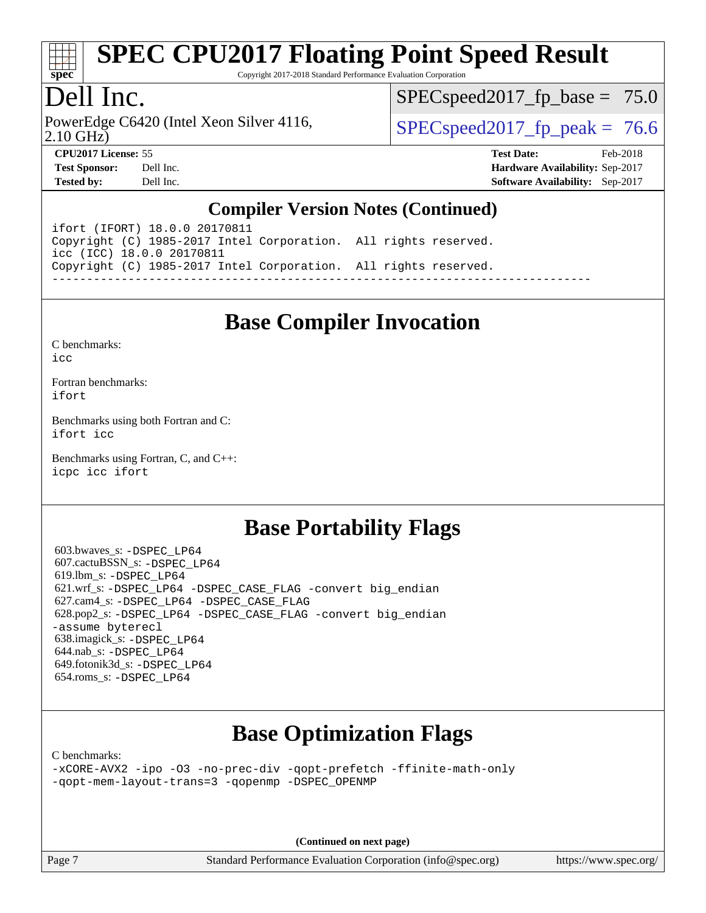

Copyright 2017-2018 Standard Performance Evaluation Corporation

# Dell Inc.

2.10 GHz) PowerEdge C6420 (Intel Xeon Silver 4116,  $\vert$  [SPECspeed2017\\_fp\\_peak =](http://www.spec.org/auto/cpu2017/Docs/result-fields.html#SPECspeed2017fppeak) 76.6

 $SPECspeed2017_fp\_base = 75.0$ 

**[CPU2017 License:](http://www.spec.org/auto/cpu2017/Docs/result-fields.html#CPU2017License)** 55 **[Test Date:](http://www.spec.org/auto/cpu2017/Docs/result-fields.html#TestDate)** Feb-2018

**[Test Sponsor:](http://www.spec.org/auto/cpu2017/Docs/result-fields.html#TestSponsor)** Dell Inc. **[Hardware Availability:](http://www.spec.org/auto/cpu2017/Docs/result-fields.html#HardwareAvailability)** Sep-2017 **[Tested by:](http://www.spec.org/auto/cpu2017/Docs/result-fields.html#Testedby)** Dell Inc. **[Software Availability:](http://www.spec.org/auto/cpu2017/Docs/result-fields.html#SoftwareAvailability)** Sep-2017

### **[Compiler Version Notes \(Continued\)](http://www.spec.org/auto/cpu2017/Docs/result-fields.html#CompilerVersionNotes)**

ifort (IFORT) 18.0.0 20170811 Copyright (C) 1985-2017 Intel Corporation. All rights reserved. icc (ICC) 18.0.0 20170811 Copyright (C) 1985-2017 Intel Corporation. All rights reserved. ------------------------------------------------------------------------------

## **[Base Compiler Invocation](http://www.spec.org/auto/cpu2017/Docs/result-fields.html#BaseCompilerInvocation)**

[C benchmarks](http://www.spec.org/auto/cpu2017/Docs/result-fields.html#Cbenchmarks):  $i$ cc

[Fortran benchmarks](http://www.spec.org/auto/cpu2017/Docs/result-fields.html#Fortranbenchmarks): [ifort](http://www.spec.org/cpu2017/results/res2018q1/cpu2017-20180305-03816.flags.html#user_FCbase_intel_ifort_18.0_8111460550e3ca792625aed983ce982f94888b8b503583aa7ba2b8303487b4d8a21a13e7191a45c5fd58ff318f48f9492884d4413fa793fd88dd292cad7027ca)

[Benchmarks using both Fortran and C](http://www.spec.org/auto/cpu2017/Docs/result-fields.html#BenchmarksusingbothFortranandC): [ifort](http://www.spec.org/cpu2017/results/res2018q1/cpu2017-20180305-03816.flags.html#user_CC_FCbase_intel_ifort_18.0_8111460550e3ca792625aed983ce982f94888b8b503583aa7ba2b8303487b4d8a21a13e7191a45c5fd58ff318f48f9492884d4413fa793fd88dd292cad7027ca) [icc](http://www.spec.org/cpu2017/results/res2018q1/cpu2017-20180305-03816.flags.html#user_CC_FCbase_intel_icc_18.0_66fc1ee009f7361af1fbd72ca7dcefbb700085f36577c54f309893dd4ec40d12360134090235512931783d35fd58c0460139e722d5067c5574d8eaf2b3e37e92)

[Benchmarks using Fortran, C, and C++:](http://www.spec.org/auto/cpu2017/Docs/result-fields.html#BenchmarksusingFortranCandCXX) [icpc](http://www.spec.org/cpu2017/results/res2018q1/cpu2017-20180305-03816.flags.html#user_CC_CXX_FCbase_intel_icpc_18.0_c510b6838c7f56d33e37e94d029a35b4a7bccf4766a728ee175e80a419847e808290a9b78be685c44ab727ea267ec2f070ec5dc83b407c0218cded6866a35d07) [icc](http://www.spec.org/cpu2017/results/res2018q1/cpu2017-20180305-03816.flags.html#user_CC_CXX_FCbase_intel_icc_18.0_66fc1ee009f7361af1fbd72ca7dcefbb700085f36577c54f309893dd4ec40d12360134090235512931783d35fd58c0460139e722d5067c5574d8eaf2b3e37e92) [ifort](http://www.spec.org/cpu2017/results/res2018q1/cpu2017-20180305-03816.flags.html#user_CC_CXX_FCbase_intel_ifort_18.0_8111460550e3ca792625aed983ce982f94888b8b503583aa7ba2b8303487b4d8a21a13e7191a45c5fd58ff318f48f9492884d4413fa793fd88dd292cad7027ca)

### **[Base Portability Flags](http://www.spec.org/auto/cpu2017/Docs/result-fields.html#BasePortabilityFlags)**

 603.bwaves\_s: [-DSPEC\\_LP64](http://www.spec.org/cpu2017/results/res2018q1/cpu2017-20180305-03816.flags.html#suite_basePORTABILITY603_bwaves_s_DSPEC_LP64) 607.cactuBSSN\_s: [-DSPEC\\_LP64](http://www.spec.org/cpu2017/results/res2018q1/cpu2017-20180305-03816.flags.html#suite_basePORTABILITY607_cactuBSSN_s_DSPEC_LP64) 619.lbm\_s: [-DSPEC\\_LP64](http://www.spec.org/cpu2017/results/res2018q1/cpu2017-20180305-03816.flags.html#suite_basePORTABILITY619_lbm_s_DSPEC_LP64) 621.wrf\_s: [-DSPEC\\_LP64](http://www.spec.org/cpu2017/results/res2018q1/cpu2017-20180305-03816.flags.html#suite_basePORTABILITY621_wrf_s_DSPEC_LP64) [-DSPEC\\_CASE\\_FLAG](http://www.spec.org/cpu2017/results/res2018q1/cpu2017-20180305-03816.flags.html#b621.wrf_s_baseCPORTABILITY_DSPEC_CASE_FLAG) [-convert big\\_endian](http://www.spec.org/cpu2017/results/res2018q1/cpu2017-20180305-03816.flags.html#user_baseFPORTABILITY621_wrf_s_convert_big_endian_c3194028bc08c63ac5d04de18c48ce6d347e4e562e8892b8bdbdc0214820426deb8554edfa529a3fb25a586e65a3d812c835984020483e7e73212c4d31a38223) 627.cam4\_s: [-DSPEC\\_LP64](http://www.spec.org/cpu2017/results/res2018q1/cpu2017-20180305-03816.flags.html#suite_basePORTABILITY627_cam4_s_DSPEC_LP64) [-DSPEC\\_CASE\\_FLAG](http://www.spec.org/cpu2017/results/res2018q1/cpu2017-20180305-03816.flags.html#b627.cam4_s_baseCPORTABILITY_DSPEC_CASE_FLAG) 628.pop2\_s: [-DSPEC\\_LP64](http://www.spec.org/cpu2017/results/res2018q1/cpu2017-20180305-03816.flags.html#suite_basePORTABILITY628_pop2_s_DSPEC_LP64) [-DSPEC\\_CASE\\_FLAG](http://www.spec.org/cpu2017/results/res2018q1/cpu2017-20180305-03816.flags.html#b628.pop2_s_baseCPORTABILITY_DSPEC_CASE_FLAG) [-convert big\\_endian](http://www.spec.org/cpu2017/results/res2018q1/cpu2017-20180305-03816.flags.html#user_baseFPORTABILITY628_pop2_s_convert_big_endian_c3194028bc08c63ac5d04de18c48ce6d347e4e562e8892b8bdbdc0214820426deb8554edfa529a3fb25a586e65a3d812c835984020483e7e73212c4d31a38223) [-assume byterecl](http://www.spec.org/cpu2017/results/res2018q1/cpu2017-20180305-03816.flags.html#user_baseFPORTABILITY628_pop2_s_assume_byterecl_7e47d18b9513cf18525430bbf0f2177aa9bf368bc7a059c09b2c06a34b53bd3447c950d3f8d6c70e3faf3a05c8557d66a5798b567902e8849adc142926523472) 638.imagick\_s: [-DSPEC\\_LP64](http://www.spec.org/cpu2017/results/res2018q1/cpu2017-20180305-03816.flags.html#suite_basePORTABILITY638_imagick_s_DSPEC_LP64) 644.nab\_s: [-DSPEC\\_LP64](http://www.spec.org/cpu2017/results/res2018q1/cpu2017-20180305-03816.flags.html#suite_basePORTABILITY644_nab_s_DSPEC_LP64) 649.fotonik3d\_s: [-DSPEC\\_LP64](http://www.spec.org/cpu2017/results/res2018q1/cpu2017-20180305-03816.flags.html#suite_basePORTABILITY649_fotonik3d_s_DSPEC_LP64) 654.roms\_s: [-DSPEC\\_LP64](http://www.spec.org/cpu2017/results/res2018q1/cpu2017-20180305-03816.flags.html#suite_basePORTABILITY654_roms_s_DSPEC_LP64)

# **[Base Optimization Flags](http://www.spec.org/auto/cpu2017/Docs/result-fields.html#BaseOptimizationFlags)**

[C benchmarks](http://www.spec.org/auto/cpu2017/Docs/result-fields.html#Cbenchmarks):

[-xCORE-AVX2](http://www.spec.org/cpu2017/results/res2018q1/cpu2017-20180305-03816.flags.html#user_CCbase_f-xCORE-AVX2) [-ipo](http://www.spec.org/cpu2017/results/res2018q1/cpu2017-20180305-03816.flags.html#user_CCbase_f-ipo) [-O3](http://www.spec.org/cpu2017/results/res2018q1/cpu2017-20180305-03816.flags.html#user_CCbase_f-O3) [-no-prec-div](http://www.spec.org/cpu2017/results/res2018q1/cpu2017-20180305-03816.flags.html#user_CCbase_f-no-prec-div) [-qopt-prefetch](http://www.spec.org/cpu2017/results/res2018q1/cpu2017-20180305-03816.flags.html#user_CCbase_f-qopt-prefetch) [-ffinite-math-only](http://www.spec.org/cpu2017/results/res2018q1/cpu2017-20180305-03816.flags.html#user_CCbase_f_finite_math_only_cb91587bd2077682c4b38af759c288ed7c732db004271a9512da14a4f8007909a5f1427ecbf1a0fb78ff2a814402c6114ac565ca162485bbcae155b5e4258871) [-qopt-mem-layout-trans=3](http://www.spec.org/cpu2017/results/res2018q1/cpu2017-20180305-03816.flags.html#user_CCbase_f-qopt-mem-layout-trans_de80db37974c74b1f0e20d883f0b675c88c3b01e9d123adea9b28688d64333345fb62bc4a798493513fdb68f60282f9a726aa07f478b2f7113531aecce732043) [-qopenmp](http://www.spec.org/cpu2017/results/res2018q1/cpu2017-20180305-03816.flags.html#user_CCbase_qopenmp_16be0c44f24f464004c6784a7acb94aca937f053568ce72f94b139a11c7c168634a55f6653758ddd83bcf7b8463e8028bb0b48b77bcddc6b78d5d95bb1df2967) [-DSPEC\\_OPENMP](http://www.spec.org/cpu2017/results/res2018q1/cpu2017-20180305-03816.flags.html#suite_CCbase_DSPEC_OPENMP)

**(Continued on next page)**

Page 7 Standard Performance Evaluation Corporation [\(info@spec.org\)](mailto:info@spec.org) <https://www.spec.org/>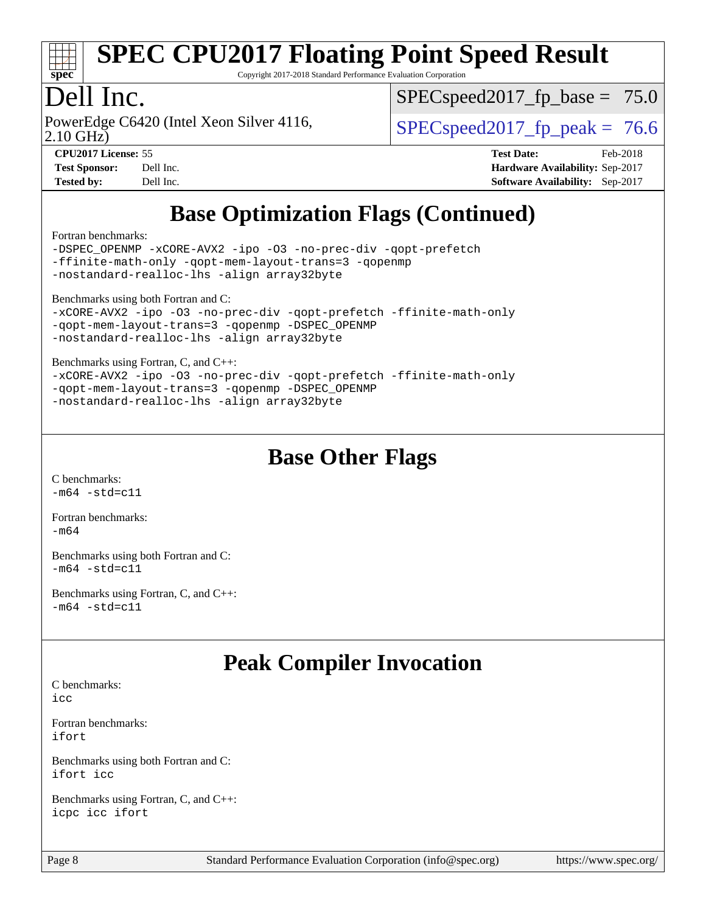

Copyright 2017-2018 Standard Performance Evaluation Corporation

# Dell Inc.

2.10 GHz) PowerEdge C6420 (Intel Xeon Silver 4116,  $\vert$  [SPECspeed2017\\_fp\\_peak =](http://www.spec.org/auto/cpu2017/Docs/result-fields.html#SPECspeed2017fppeak) 76.6

 $SPECspeed2017_fp\_base = 75.0$ 

**[CPU2017 License:](http://www.spec.org/auto/cpu2017/Docs/result-fields.html#CPU2017License)** 55 **[Test Date:](http://www.spec.org/auto/cpu2017/Docs/result-fields.html#TestDate)** Feb-2018 **[Test Sponsor:](http://www.spec.org/auto/cpu2017/Docs/result-fields.html#TestSponsor)** Dell Inc. **[Hardware Availability:](http://www.spec.org/auto/cpu2017/Docs/result-fields.html#HardwareAvailability)** Sep-2017 **[Tested by:](http://www.spec.org/auto/cpu2017/Docs/result-fields.html#Testedby)** Dell Inc. **[Software Availability:](http://www.spec.org/auto/cpu2017/Docs/result-fields.html#SoftwareAvailability)** Sep-2017

# **[Base Optimization Flags \(Continued\)](http://www.spec.org/auto/cpu2017/Docs/result-fields.html#BaseOptimizationFlags)**

[Fortran benchmarks](http://www.spec.org/auto/cpu2017/Docs/result-fields.html#Fortranbenchmarks):

[-DSPEC\\_OPENMP](http://www.spec.org/cpu2017/results/res2018q1/cpu2017-20180305-03816.flags.html#suite_FCbase_DSPEC_OPENMP) [-xCORE-AVX2](http://www.spec.org/cpu2017/results/res2018q1/cpu2017-20180305-03816.flags.html#user_FCbase_f-xCORE-AVX2) [-ipo](http://www.spec.org/cpu2017/results/res2018q1/cpu2017-20180305-03816.flags.html#user_FCbase_f-ipo) [-O3](http://www.spec.org/cpu2017/results/res2018q1/cpu2017-20180305-03816.flags.html#user_FCbase_f-O3) [-no-prec-div](http://www.spec.org/cpu2017/results/res2018q1/cpu2017-20180305-03816.flags.html#user_FCbase_f-no-prec-div) [-qopt-prefetch](http://www.spec.org/cpu2017/results/res2018q1/cpu2017-20180305-03816.flags.html#user_FCbase_f-qopt-prefetch) [-ffinite-math-only](http://www.spec.org/cpu2017/results/res2018q1/cpu2017-20180305-03816.flags.html#user_FCbase_f_finite_math_only_cb91587bd2077682c4b38af759c288ed7c732db004271a9512da14a4f8007909a5f1427ecbf1a0fb78ff2a814402c6114ac565ca162485bbcae155b5e4258871) [-qopt-mem-layout-trans=3](http://www.spec.org/cpu2017/results/res2018q1/cpu2017-20180305-03816.flags.html#user_FCbase_f-qopt-mem-layout-trans_de80db37974c74b1f0e20d883f0b675c88c3b01e9d123adea9b28688d64333345fb62bc4a798493513fdb68f60282f9a726aa07f478b2f7113531aecce732043) [-qopenmp](http://www.spec.org/cpu2017/results/res2018q1/cpu2017-20180305-03816.flags.html#user_FCbase_qopenmp_16be0c44f24f464004c6784a7acb94aca937f053568ce72f94b139a11c7c168634a55f6653758ddd83bcf7b8463e8028bb0b48b77bcddc6b78d5d95bb1df2967) [-nostandard-realloc-lhs](http://www.spec.org/cpu2017/results/res2018q1/cpu2017-20180305-03816.flags.html#user_FCbase_f_2003_std_realloc_82b4557e90729c0f113870c07e44d33d6f5a304b4f63d4c15d2d0f1fab99f5daaed73bdb9275d9ae411527f28b936061aa8b9c8f2d63842963b95c9dd6426b8a) [-align array32byte](http://www.spec.org/cpu2017/results/res2018q1/cpu2017-20180305-03816.flags.html#user_FCbase_align_array32byte_b982fe038af199962ba9a80c053b8342c548c85b40b8e86eb3cc33dee0d7986a4af373ac2d51c3f7cf710a18d62fdce2948f201cd044323541f22fc0fffc51b6)

[Benchmarks using both Fortran and C](http://www.spec.org/auto/cpu2017/Docs/result-fields.html#BenchmarksusingbothFortranandC):

```
-xCORE-AVX2 -ipo -O3 -no-prec-div -qopt-prefetch -ffinite-math-only
-qopt-mem-layout-trans=3 -qopenmp -DSPEC_OPENMP
-nostandard-realloc-lhs -align array32byte
```
[Benchmarks using Fortran, C, and C++:](http://www.spec.org/auto/cpu2017/Docs/result-fields.html#BenchmarksusingFortranCandCXX)

```
-xCORE-AVX2 -ipo -O3 -no-prec-div -qopt-prefetch -ffinite-math-only
-qopt-mem-layout-trans=3 -qopenmp -DSPEC_OPENMP
-nostandard-realloc-lhs -align array32byte
```
### **[Base Other Flags](http://www.spec.org/auto/cpu2017/Docs/result-fields.html#BaseOtherFlags)**

[C benchmarks](http://www.spec.org/auto/cpu2017/Docs/result-fields.html#Cbenchmarks):  $-m64 - std = c11$  $-m64 - std = c11$ 

[Fortran benchmarks](http://www.spec.org/auto/cpu2017/Docs/result-fields.html#Fortranbenchmarks):  $-m64$ 

[Benchmarks using both Fortran and C](http://www.spec.org/auto/cpu2017/Docs/result-fields.html#BenchmarksusingbothFortranandC):  $-m64 - std= c11$  $-m64 - std= c11$ 

[Benchmarks using Fortran, C, and C++:](http://www.spec.org/auto/cpu2017/Docs/result-fields.html#BenchmarksusingFortranCandCXX)  $-m64 - std= c11$  $-m64 - std= c11$ 

### **[Peak Compiler Invocation](http://www.spec.org/auto/cpu2017/Docs/result-fields.html#PeakCompilerInvocation)**

[C benchmarks](http://www.spec.org/auto/cpu2017/Docs/result-fields.html#Cbenchmarks):  $i$ cc

[Fortran benchmarks](http://www.spec.org/auto/cpu2017/Docs/result-fields.html#Fortranbenchmarks): [ifort](http://www.spec.org/cpu2017/results/res2018q1/cpu2017-20180305-03816.flags.html#user_FCpeak_intel_ifort_18.0_8111460550e3ca792625aed983ce982f94888b8b503583aa7ba2b8303487b4d8a21a13e7191a45c5fd58ff318f48f9492884d4413fa793fd88dd292cad7027ca)

[Benchmarks using both Fortran and C](http://www.spec.org/auto/cpu2017/Docs/result-fields.html#BenchmarksusingbothFortranandC): [ifort](http://www.spec.org/cpu2017/results/res2018q1/cpu2017-20180305-03816.flags.html#user_CC_FCpeak_intel_ifort_18.0_8111460550e3ca792625aed983ce982f94888b8b503583aa7ba2b8303487b4d8a21a13e7191a45c5fd58ff318f48f9492884d4413fa793fd88dd292cad7027ca) [icc](http://www.spec.org/cpu2017/results/res2018q1/cpu2017-20180305-03816.flags.html#user_CC_FCpeak_intel_icc_18.0_66fc1ee009f7361af1fbd72ca7dcefbb700085f36577c54f309893dd4ec40d12360134090235512931783d35fd58c0460139e722d5067c5574d8eaf2b3e37e92)

[Benchmarks using Fortran, C, and C++:](http://www.spec.org/auto/cpu2017/Docs/result-fields.html#BenchmarksusingFortranCandCXX) [icpc](http://www.spec.org/cpu2017/results/res2018q1/cpu2017-20180305-03816.flags.html#user_CC_CXX_FCpeak_intel_icpc_18.0_c510b6838c7f56d33e37e94d029a35b4a7bccf4766a728ee175e80a419847e808290a9b78be685c44ab727ea267ec2f070ec5dc83b407c0218cded6866a35d07) [icc](http://www.spec.org/cpu2017/results/res2018q1/cpu2017-20180305-03816.flags.html#user_CC_CXX_FCpeak_intel_icc_18.0_66fc1ee009f7361af1fbd72ca7dcefbb700085f36577c54f309893dd4ec40d12360134090235512931783d35fd58c0460139e722d5067c5574d8eaf2b3e37e92) [ifort](http://www.spec.org/cpu2017/results/res2018q1/cpu2017-20180305-03816.flags.html#user_CC_CXX_FCpeak_intel_ifort_18.0_8111460550e3ca792625aed983ce982f94888b8b503583aa7ba2b8303487b4d8a21a13e7191a45c5fd58ff318f48f9492884d4413fa793fd88dd292cad7027ca)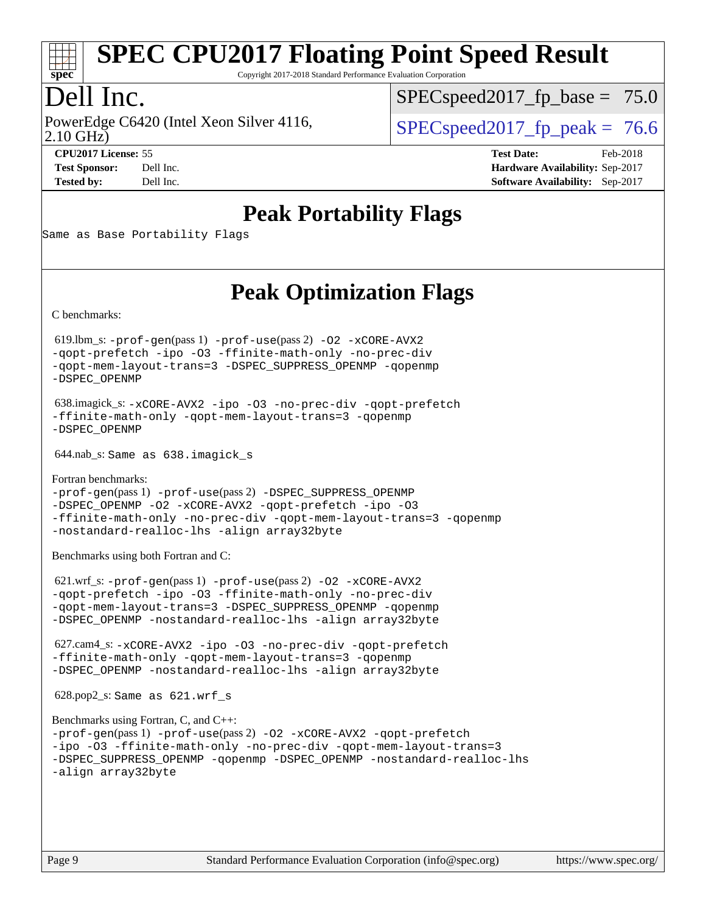

Copyright 2017-2018 Standard Performance Evaluation Corporation

# Dell Inc.

2.10 GHz) PowerEdge C6420 (Intel Xeon Silver 4116,  $\vert$  [SPECspeed2017\\_fp\\_peak =](http://www.spec.org/auto/cpu2017/Docs/result-fields.html#SPECspeed2017fppeak) 76.6

 $SPECspeed2017_fp\_base = 75.0$ 

**[Tested by:](http://www.spec.org/auto/cpu2017/Docs/result-fields.html#Testedby)** Dell Inc. **[Software Availability:](http://www.spec.org/auto/cpu2017/Docs/result-fields.html#SoftwareAvailability)** Sep-2017

**[CPU2017 License:](http://www.spec.org/auto/cpu2017/Docs/result-fields.html#CPU2017License)** 55 **[Test Date:](http://www.spec.org/auto/cpu2017/Docs/result-fields.html#TestDate)** Feb-2018 **[Test Sponsor:](http://www.spec.org/auto/cpu2017/Docs/result-fields.html#TestSponsor)** Dell Inc. **[Hardware Availability:](http://www.spec.org/auto/cpu2017/Docs/result-fields.html#HardwareAvailability)** Sep-2017

# **[Peak Portability Flags](http://www.spec.org/auto/cpu2017/Docs/result-fields.html#PeakPortabilityFlags)**

Same as Base Portability Flags

# **[Peak Optimization Flags](http://www.spec.org/auto/cpu2017/Docs/result-fields.html#PeakOptimizationFlags)**

[C benchmarks](http://www.spec.org/auto/cpu2017/Docs/result-fields.html#Cbenchmarks):

 619.lbm\_s: [-prof-gen](http://www.spec.org/cpu2017/results/res2018q1/cpu2017-20180305-03816.flags.html#user_peakPASS1_CFLAGSPASS1_LDFLAGS619_lbm_s_prof_gen_5aa4926d6013ddb2a31985c654b3eb18169fc0c6952a63635c234f711e6e63dd76e94ad52365559451ec499a2cdb89e4dc58ba4c67ef54ca681ffbe1461d6b36)(pass 1) [-prof-use](http://www.spec.org/cpu2017/results/res2018q1/cpu2017-20180305-03816.flags.html#user_peakPASS2_CFLAGSPASS2_LDFLAGS619_lbm_s_prof_use_1a21ceae95f36a2b53c25747139a6c16ca95bd9def2a207b4f0849963b97e94f5260e30a0c64f4bb623698870e679ca08317ef8150905d41bd88c6f78df73f19)(pass 2) [-O2](http://www.spec.org/cpu2017/results/res2018q1/cpu2017-20180305-03816.flags.html#user_peakPASS1_COPTIMIZE619_lbm_s_f-O2) [-xCORE-AVX2](http://www.spec.org/cpu2017/results/res2018q1/cpu2017-20180305-03816.flags.html#user_peakPASS2_COPTIMIZE619_lbm_s_f-xCORE-AVX2) [-qopt-prefetch](http://www.spec.org/cpu2017/results/res2018q1/cpu2017-20180305-03816.flags.html#user_peakPASS1_COPTIMIZEPASS2_COPTIMIZE619_lbm_s_f-qopt-prefetch) [-ipo](http://www.spec.org/cpu2017/results/res2018q1/cpu2017-20180305-03816.flags.html#user_peakPASS2_COPTIMIZE619_lbm_s_f-ipo) [-O3](http://www.spec.org/cpu2017/results/res2018q1/cpu2017-20180305-03816.flags.html#user_peakPASS2_COPTIMIZE619_lbm_s_f-O3) [-ffinite-math-only](http://www.spec.org/cpu2017/results/res2018q1/cpu2017-20180305-03816.flags.html#user_peakPASS1_COPTIMIZEPASS2_COPTIMIZE619_lbm_s_f_finite_math_only_cb91587bd2077682c4b38af759c288ed7c732db004271a9512da14a4f8007909a5f1427ecbf1a0fb78ff2a814402c6114ac565ca162485bbcae155b5e4258871) [-no-prec-div](http://www.spec.org/cpu2017/results/res2018q1/cpu2017-20180305-03816.flags.html#user_peakPASS2_COPTIMIZE619_lbm_s_f-no-prec-div) [-qopt-mem-layout-trans=3](http://www.spec.org/cpu2017/results/res2018q1/cpu2017-20180305-03816.flags.html#user_peakPASS1_COPTIMIZEPASS2_COPTIMIZE619_lbm_s_f-qopt-mem-layout-trans_de80db37974c74b1f0e20d883f0b675c88c3b01e9d123adea9b28688d64333345fb62bc4a798493513fdb68f60282f9a726aa07f478b2f7113531aecce732043) [-DSPEC\\_SUPPRESS\\_OPENMP](http://www.spec.org/cpu2017/results/res2018q1/cpu2017-20180305-03816.flags.html#suite_peakPASS1_COPTIMIZE619_lbm_s_DSPEC_SUPPRESS_OPENMP) [-qopenmp](http://www.spec.org/cpu2017/results/res2018q1/cpu2017-20180305-03816.flags.html#user_peakPASS2_COPTIMIZE619_lbm_s_qopenmp_16be0c44f24f464004c6784a7acb94aca937f053568ce72f94b139a11c7c168634a55f6653758ddd83bcf7b8463e8028bb0b48b77bcddc6b78d5d95bb1df2967) [-DSPEC\\_OPENMP](http://www.spec.org/cpu2017/results/res2018q1/cpu2017-20180305-03816.flags.html#suite_peakPASS2_COPTIMIZE619_lbm_s_DSPEC_OPENMP)

```
 638.imagick_s: -xCORE-AVX2 -ipo -O3 -no-prec-div -qopt-prefetch
-ffinite-math-only -qopt-mem-layout-trans=3 -qopenmp
-DSPEC_OPENMP
```
644.nab\_s: Same as 638.imagick\_s

[Fortran benchmarks](http://www.spec.org/auto/cpu2017/Docs/result-fields.html#Fortranbenchmarks): [-prof-gen](http://www.spec.org/cpu2017/results/res2018q1/cpu2017-20180305-03816.flags.html#user_FCpeak_prof_gen_5aa4926d6013ddb2a31985c654b3eb18169fc0c6952a63635c234f711e6e63dd76e94ad52365559451ec499a2cdb89e4dc58ba4c67ef54ca681ffbe1461d6b36)(pass 1) [-prof-use](http://www.spec.org/cpu2017/results/res2018q1/cpu2017-20180305-03816.flags.html#user_FCpeak_prof_use_1a21ceae95f36a2b53c25747139a6c16ca95bd9def2a207b4f0849963b97e94f5260e30a0c64f4bb623698870e679ca08317ef8150905d41bd88c6f78df73f19)(pass 2) [-DSPEC\\_SUPPRESS\\_OPENMP](http://www.spec.org/cpu2017/results/res2018q1/cpu2017-20180305-03816.flags.html#suite_FCpeak_DSPEC_SUPPRESS_OPENMP) [-DSPEC\\_OPENMP](http://www.spec.org/cpu2017/results/res2018q1/cpu2017-20180305-03816.flags.html#suite_FCpeak_DSPEC_OPENMP) [-O2](http://www.spec.org/cpu2017/results/res2018q1/cpu2017-20180305-03816.flags.html#user_FCpeak_f-O2) [-xCORE-AVX2](http://www.spec.org/cpu2017/results/res2018q1/cpu2017-20180305-03816.flags.html#user_FCpeak_f-xCORE-AVX2) [-qopt-prefetch](http://www.spec.org/cpu2017/results/res2018q1/cpu2017-20180305-03816.flags.html#user_FCpeak_f-qopt-prefetch) [-ipo](http://www.spec.org/cpu2017/results/res2018q1/cpu2017-20180305-03816.flags.html#user_FCpeak_f-ipo) [-O3](http://www.spec.org/cpu2017/results/res2018q1/cpu2017-20180305-03816.flags.html#user_FCpeak_f-O3) [-ffinite-math-only](http://www.spec.org/cpu2017/results/res2018q1/cpu2017-20180305-03816.flags.html#user_FCpeak_f_finite_math_only_cb91587bd2077682c4b38af759c288ed7c732db004271a9512da14a4f8007909a5f1427ecbf1a0fb78ff2a814402c6114ac565ca162485bbcae155b5e4258871) [-no-prec-div](http://www.spec.org/cpu2017/results/res2018q1/cpu2017-20180305-03816.flags.html#user_FCpeak_f-no-prec-div) [-qopt-mem-layout-trans=3](http://www.spec.org/cpu2017/results/res2018q1/cpu2017-20180305-03816.flags.html#user_FCpeak_f-qopt-mem-layout-trans_de80db37974c74b1f0e20d883f0b675c88c3b01e9d123adea9b28688d64333345fb62bc4a798493513fdb68f60282f9a726aa07f478b2f7113531aecce732043) [-qopenmp](http://www.spec.org/cpu2017/results/res2018q1/cpu2017-20180305-03816.flags.html#user_FCpeak_qopenmp_16be0c44f24f464004c6784a7acb94aca937f053568ce72f94b139a11c7c168634a55f6653758ddd83bcf7b8463e8028bb0b48b77bcddc6b78d5d95bb1df2967) [-nostandard-realloc-lhs](http://www.spec.org/cpu2017/results/res2018q1/cpu2017-20180305-03816.flags.html#user_FCpeak_f_2003_std_realloc_82b4557e90729c0f113870c07e44d33d6f5a304b4f63d4c15d2d0f1fab99f5daaed73bdb9275d9ae411527f28b936061aa8b9c8f2d63842963b95c9dd6426b8a) [-align array32byte](http://www.spec.org/cpu2017/results/res2018q1/cpu2017-20180305-03816.flags.html#user_FCpeak_align_array32byte_b982fe038af199962ba9a80c053b8342c548c85b40b8e86eb3cc33dee0d7986a4af373ac2d51c3f7cf710a18d62fdce2948f201cd044323541f22fc0fffc51b6)

[Benchmarks using both Fortran and C](http://www.spec.org/auto/cpu2017/Docs/result-fields.html#BenchmarksusingbothFortranandC):

 621.wrf\_s: [-prof-gen](http://www.spec.org/cpu2017/results/res2018q1/cpu2017-20180305-03816.flags.html#user_peakPASS1_CFLAGSPASS1_FFLAGSPASS1_LDFLAGS621_wrf_s_prof_gen_5aa4926d6013ddb2a31985c654b3eb18169fc0c6952a63635c234f711e6e63dd76e94ad52365559451ec499a2cdb89e4dc58ba4c67ef54ca681ffbe1461d6b36)(pass 1) [-prof-use](http://www.spec.org/cpu2017/results/res2018q1/cpu2017-20180305-03816.flags.html#user_peakPASS2_CFLAGSPASS2_FFLAGSPASS2_LDFLAGS621_wrf_s_prof_use_1a21ceae95f36a2b53c25747139a6c16ca95bd9def2a207b4f0849963b97e94f5260e30a0c64f4bb623698870e679ca08317ef8150905d41bd88c6f78df73f19)(pass 2) [-O2](http://www.spec.org/cpu2017/results/res2018q1/cpu2017-20180305-03816.flags.html#user_peakPASS1_COPTIMIZEPASS1_FOPTIMIZE621_wrf_s_f-O2) [-xCORE-AVX2](http://www.spec.org/cpu2017/results/res2018q1/cpu2017-20180305-03816.flags.html#user_peakPASS2_COPTIMIZEPASS2_FOPTIMIZE621_wrf_s_f-xCORE-AVX2) [-qopt-prefetch](http://www.spec.org/cpu2017/results/res2018q1/cpu2017-20180305-03816.flags.html#user_peakPASS1_COPTIMIZEPASS1_FOPTIMIZEPASS2_COPTIMIZEPASS2_FOPTIMIZE621_wrf_s_f-qopt-prefetch) [-ipo](http://www.spec.org/cpu2017/results/res2018q1/cpu2017-20180305-03816.flags.html#user_peakPASS2_COPTIMIZEPASS2_FOPTIMIZE621_wrf_s_f-ipo) [-O3](http://www.spec.org/cpu2017/results/res2018q1/cpu2017-20180305-03816.flags.html#user_peakPASS2_COPTIMIZEPASS2_FOPTIMIZE621_wrf_s_f-O3) [-ffinite-math-only](http://www.spec.org/cpu2017/results/res2018q1/cpu2017-20180305-03816.flags.html#user_peakPASS1_COPTIMIZEPASS1_FOPTIMIZEPASS2_COPTIMIZEPASS2_FOPTIMIZE621_wrf_s_f_finite_math_only_cb91587bd2077682c4b38af759c288ed7c732db004271a9512da14a4f8007909a5f1427ecbf1a0fb78ff2a814402c6114ac565ca162485bbcae155b5e4258871) [-no-prec-div](http://www.spec.org/cpu2017/results/res2018q1/cpu2017-20180305-03816.flags.html#user_peakPASS2_COPTIMIZEPASS2_FOPTIMIZE621_wrf_s_f-no-prec-div) [-qopt-mem-layout-trans=3](http://www.spec.org/cpu2017/results/res2018q1/cpu2017-20180305-03816.flags.html#user_peakPASS1_COPTIMIZEPASS1_FOPTIMIZEPASS2_COPTIMIZEPASS2_FOPTIMIZE621_wrf_s_f-qopt-mem-layout-trans_de80db37974c74b1f0e20d883f0b675c88c3b01e9d123adea9b28688d64333345fb62bc4a798493513fdb68f60282f9a726aa07f478b2f7113531aecce732043) [-DSPEC\\_SUPPRESS\\_OPENMP](http://www.spec.org/cpu2017/results/res2018q1/cpu2017-20180305-03816.flags.html#suite_peakPASS1_COPTIMIZEPASS1_FOPTIMIZE621_wrf_s_DSPEC_SUPPRESS_OPENMP) [-qopenmp](http://www.spec.org/cpu2017/results/res2018q1/cpu2017-20180305-03816.flags.html#user_peakPASS2_COPTIMIZEPASS2_FOPTIMIZE621_wrf_s_qopenmp_16be0c44f24f464004c6784a7acb94aca937f053568ce72f94b139a11c7c168634a55f6653758ddd83bcf7b8463e8028bb0b48b77bcddc6b78d5d95bb1df2967) [-DSPEC\\_OPENMP](http://www.spec.org/cpu2017/results/res2018q1/cpu2017-20180305-03816.flags.html#suite_peakPASS2_COPTIMIZEPASS2_FOPTIMIZE621_wrf_s_DSPEC_OPENMP) [-nostandard-realloc-lhs](http://www.spec.org/cpu2017/results/res2018q1/cpu2017-20180305-03816.flags.html#user_peakEXTRA_FOPTIMIZE621_wrf_s_f_2003_std_realloc_82b4557e90729c0f113870c07e44d33d6f5a304b4f63d4c15d2d0f1fab99f5daaed73bdb9275d9ae411527f28b936061aa8b9c8f2d63842963b95c9dd6426b8a) [-align array32byte](http://www.spec.org/cpu2017/results/res2018q1/cpu2017-20180305-03816.flags.html#user_peakEXTRA_FOPTIMIZE621_wrf_s_align_array32byte_b982fe038af199962ba9a80c053b8342c548c85b40b8e86eb3cc33dee0d7986a4af373ac2d51c3f7cf710a18d62fdce2948f201cd044323541f22fc0fffc51b6)

 627.cam4\_s: [-xCORE-AVX2](http://www.spec.org/cpu2017/results/res2018q1/cpu2017-20180305-03816.flags.html#user_peakCOPTIMIZEFOPTIMIZE627_cam4_s_f-xCORE-AVX2) [-ipo](http://www.spec.org/cpu2017/results/res2018q1/cpu2017-20180305-03816.flags.html#user_peakCOPTIMIZEFOPTIMIZE627_cam4_s_f-ipo) [-O3](http://www.spec.org/cpu2017/results/res2018q1/cpu2017-20180305-03816.flags.html#user_peakCOPTIMIZEFOPTIMIZE627_cam4_s_f-O3) [-no-prec-div](http://www.spec.org/cpu2017/results/res2018q1/cpu2017-20180305-03816.flags.html#user_peakCOPTIMIZEFOPTIMIZE627_cam4_s_f-no-prec-div) [-qopt-prefetch](http://www.spec.org/cpu2017/results/res2018q1/cpu2017-20180305-03816.flags.html#user_peakCOPTIMIZEFOPTIMIZE627_cam4_s_f-qopt-prefetch) [-ffinite-math-only](http://www.spec.org/cpu2017/results/res2018q1/cpu2017-20180305-03816.flags.html#user_peakCOPTIMIZEFOPTIMIZE627_cam4_s_f_finite_math_only_cb91587bd2077682c4b38af759c288ed7c732db004271a9512da14a4f8007909a5f1427ecbf1a0fb78ff2a814402c6114ac565ca162485bbcae155b5e4258871) [-qopt-mem-layout-trans=3](http://www.spec.org/cpu2017/results/res2018q1/cpu2017-20180305-03816.flags.html#user_peakCOPTIMIZEFOPTIMIZE627_cam4_s_f-qopt-mem-layout-trans_de80db37974c74b1f0e20d883f0b675c88c3b01e9d123adea9b28688d64333345fb62bc4a798493513fdb68f60282f9a726aa07f478b2f7113531aecce732043) [-qopenmp](http://www.spec.org/cpu2017/results/res2018q1/cpu2017-20180305-03816.flags.html#user_peakCOPTIMIZEFOPTIMIZE627_cam4_s_qopenmp_16be0c44f24f464004c6784a7acb94aca937f053568ce72f94b139a11c7c168634a55f6653758ddd83bcf7b8463e8028bb0b48b77bcddc6b78d5d95bb1df2967) [-DSPEC\\_OPENMP](http://www.spec.org/cpu2017/results/res2018q1/cpu2017-20180305-03816.flags.html#suite_peakCOPTIMIZEFOPTIMIZE627_cam4_s_DSPEC_OPENMP) [-nostandard-realloc-lhs](http://www.spec.org/cpu2017/results/res2018q1/cpu2017-20180305-03816.flags.html#user_peakEXTRA_FOPTIMIZE627_cam4_s_f_2003_std_realloc_82b4557e90729c0f113870c07e44d33d6f5a304b4f63d4c15d2d0f1fab99f5daaed73bdb9275d9ae411527f28b936061aa8b9c8f2d63842963b95c9dd6426b8a) [-align array32byte](http://www.spec.org/cpu2017/results/res2018q1/cpu2017-20180305-03816.flags.html#user_peakEXTRA_FOPTIMIZE627_cam4_s_align_array32byte_b982fe038af199962ba9a80c053b8342c548c85b40b8e86eb3cc33dee0d7986a4af373ac2d51c3f7cf710a18d62fdce2948f201cd044323541f22fc0fffc51b6)

628.pop2\_s: Same as 621.wrf\_s

```
Benchmarks using Fortran, C, and C++: 
-prof-gen(pass 1) -prof-use(pass 2) -O2 -xCORE-AVX2 -qopt-prefetch
-ipo -O3 -ffinite-math-only -no-prec-div -qopt-mem-layout-trans=3
-DSPEC_SUPPRESS_OPENMP -qopenmp -DSPEC_OPENMP -nostandard-realloc-lhs
-align array32byte
```